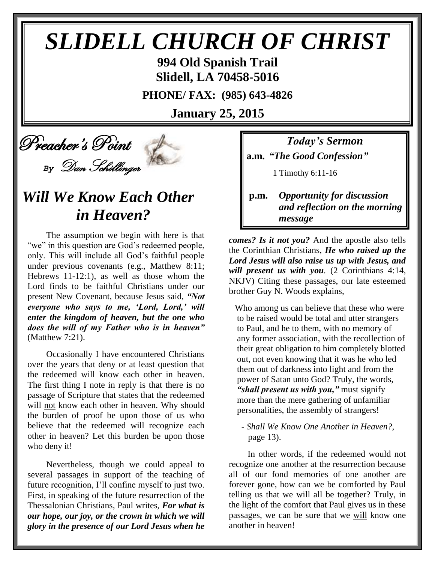# *SLIDELL CHURCH OF CHRIST*

**994 Old Spanish Trail Slidell, LA 70458-5016**

**PHONE/ FAX: (985) 643-4826**

**January 25, 2015**

 Preacher's Point *By* Dan Schillinger

### *Will We Know Each Other in Heaven?*

 The assumption we begin with here is that "we" in this question are God's redeemed people, only. This will include all God's faithful people under previous covenants (e.g., Matthew 8:11; Hebrews 11-12:1), as well as those whom the Lord finds to be faithful Christians under our present New Covenant, because Jesus said, *"Not everyone who says to me, 'Lord, Lord,' will enter the kingdom of heaven, but the one who does the will of my Father who is in heaven"* (Matthew 7:21).

 Occasionally I have encountered Christians over the years that deny or at least question that the redeemed will know each other in heaven. The first thing I note in reply is that there is no passage of Scripture that states that the redeemed will not know each other in heaven. Why should the burden of proof be upon those of us who believe that the redeemed will recognize each other in heaven? Let this burden be upon those who deny it!

 Nevertheless, though we could appeal to several passages in support of the teaching of future recognition, I'll confine myself to just two. First, in speaking of the future resurrection of the Thessalonian Christians, Paul writes, *For what is our hope, our joy, or the crown in which we will glory in the presence of our Lord Jesus when he* 

*Today's Sermon* **a.m.** *"The Good Confession"*

1 Timothy 6:11-16

**p.m.** *Opportunity for discussion*  *and reflection on the morning message*

*comes? Is it not you?* And the apostle also tells the Corinthian Christians, *He who raised up the Lord Jesus will also raise us up with Jesus, and will present us with you.* (2 Corinthians 4:14, NKJV) Citing these passages, our late esteemed brother Guy N. Woods explains,

 Who among us can believe that these who were to be raised would be total and utter strangers to Paul, and he to them, with no memory of any former association, with the recollection of their great obligation to him completely blotted out, not even knowing that it was he who led them out of darkness into light and from the power of Satan unto God? Truly, the words, *"shall present us with you,"* must signify more than the mere gathering of unfamiliar personalities, the assembly of strangers!

 - *Shall We Know One Another in Heaven?*, page 13).

 In other words, if the redeemed would not recognize one another at the resurrection because all of our fond memories of one another are forever gone, how can we be comforted by Paul telling us that we will all be together? Truly, in the light of the comfort that Paul gives us in these passages, we can be sure that we will know one another in heaven!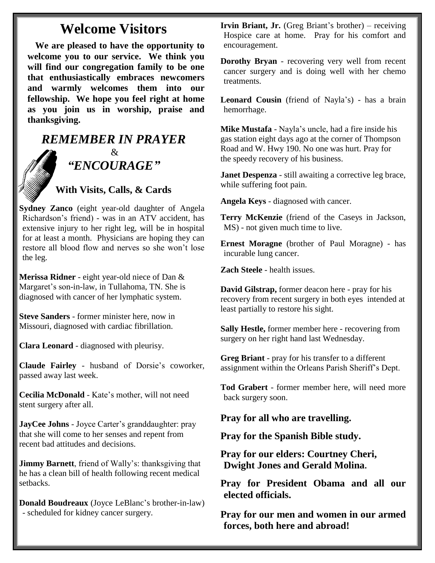### **Welcome Visitors**

**We are pleased to have the opportunity to welcome you to our service. We think you will find our congregation family to be one that enthusiastically embraces newcomers and warmly welcomes them into our fellowship. We hope you feel right at home as you join us in worship, praise and thanksgiving.**

### *REMEMBER IN PRAYER* & *"ENCOURAGE"*

#### **With Visits, Calls, & Cards**

**Sydney Zanco** (eight year-old daughter of Angela Richardson's friend) - was in an ATV accident, has extensive injury to her right leg, will be in hospital for at least a month. Physicians are hoping they can restore all blood flow and nerves so she won't lose the leg.

**Merissa Ridner** - eight year-old niece of Dan & Margaret's son-in-law, in Tullahoma, TN. She is diagnosed with cancer of her lymphatic system.

**Steve Sanders** - former minister here, now in Missouri, diagnosed with cardiac fibrillation.

**Clara Leonard** - diagnosed with pleurisy.

**Claude Fairley** - husband of Dorsie's coworker, passed away last week.

**Cecilia McDonald** - Kate's mother, will not need stent surgery after all.

**JayCee Johns** - Joyce Carter's granddaughter: pray that she will come to her senses and repent from recent bad attitudes and decisions.

**Jimmy Barnett**, friend of Wally's: thanksgiving that he has a clean bill of health following recent medical setbacks.

**Donald Boudreaux** (Joyce LeBlanc's brother-in-law) - scheduled for kidney cancer surgery.

**Irvin Briant, Jr.** (Greg Briant's brother) – receiving Hospice care at home. Pray for his comfort and encouragement.

**Dorothy Bryan** - recovering very well from recent cancer surgery and is doing well with her chemo treatments.

**Leonard Cousin** (friend of Nayla's) - has a brain hemorrhage.

**Mike Mustafa** - Nayla's uncle, had a fire inside his gas station eight days ago at the corner of Thompson Road and W. Hwy 190. No one was hurt. Pray for the speedy recovery of his business.

**Janet Despenza** - still awaiting a corrective leg brace, while suffering foot pain.

**Angela Keys** - diagnosed with cancer.

**Terry McKenzie** (friend of the Caseys in Jackson, MS) - not given much time to live.

**Ernest Moragne** (brother of Paul Moragne) - has incurable lung cancer.

**Zach Steele** - health issues.

**David Gilstrap,** former deacon here - pray for his recovery from recent surgery in both eyes intended at least partially to restore his sight.

**Sally Hestle,** former member here - recovering from surgery on her right hand last Wednesday.

**Greg Briant** - pray for his transfer to a different assignment within the Orleans Parish Sheriff's Dept.

**Tod Grabert** - former member here, will need more back surgery soon.

**Pray for all who are travelling.**

**Pray for the Spanish Bible study.**

**Pray for our elders: Courtney Cheri, Dwight Jones and Gerald Molina.**

**Pray for President Obama and all our elected officials.**

**Pray for our men and women in our armed forces, both here and abroad!**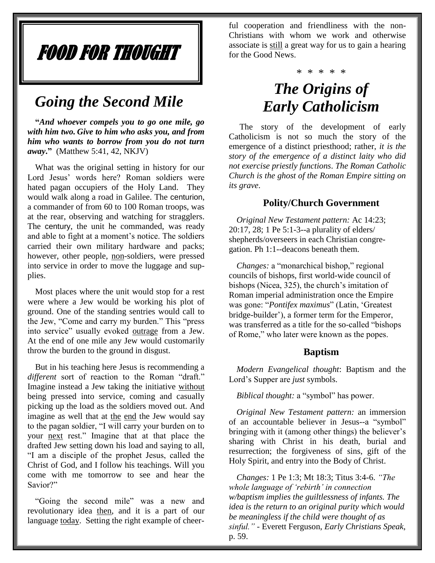## FOOD FOR THOUGHT

### *Going the Second Mile*

**"***And whoever compels you to go one mile, go with him two. Give to him who asks you, and from him who wants to borrow from you do not turn away***."** (Matthew 5:41, 42, NKJV)

What was the original setting in history for our Lord Jesus' words here? Roman soldiers were hated pagan occupiers of the Holy Land. They would walk along a road in Galilee. The centurion, a commander of from 60 to 100 Roman troops, was at the rear, observing and watching for stragglers. The century, the unit he commanded, was ready and able to fight at a moment's notice. The soldiers carried their own military hardware and packs; however, other people, non-soldiers, were pressed into service in order to move the luggage and supplies.

Most places where the unit would stop for a rest were where a Jew would be working his plot of ground. One of the standing sentries would call to the Jew, "Come and carry my burden." This "press into service" usually evoked outrage from a Jew. At the end of one mile any Jew would customarily throw the burden to the ground in disgust.

But in his teaching here Jesus is recommending a *different* sort of reaction to the Roman "draft." Imagine instead a Jew taking the initiative without being pressed into service, coming and casually picking up the load as the soldiers moved out. And imagine as well that at the end the Jew would say to the pagan soldier, "I will carry your burden on to your next rest." Imagine that at that place the drafted Jew setting down his load and saying to all, "I am a disciple of the prophet Jesus, called the Christ of God, and I follow his teachings. Will you come with me tomorrow to see and hear the Savior?"

"Going the second mile" was a new and revolutionary idea then, and it is a part of our language today. Setting the right example of cheerful cooperation and friendliness with the non-Christians with whom we work and otherwise associate is still a great way for us to gain a hearing for the Good News.

\* \* \* \* \*

### *The Origins of Early Catholicism*

The story of the development of early Catholicism is not so much the story of the emergence of a distinct priesthood; rather, *it is the story of the emergence of a distinct laity who did not exercise priestly functions*. *The Roman Catholic Church is the ghost of the Roman Empire sitting on its grave*.

#### **Polity/Church Government**

*Original New Testament pattern:* Ac 14:23; 20:17, 28; 1 Pe 5:1-3--a plurality of elders/ shepherds/overseers in each Christian congregation. Ph 1:1--deacons beneath them.

*Changes:* a "monarchical bishop," regional councils of bishops, first world-wide council of bishops (Nicea, 325), the church's imitation of Roman imperial administration once the Empire was gone: "*Pontifex maximus*" (Latin, 'Greatest bridge-builder'), a former term for the Emperor, was transferred as a title for the so-called "bishops of Rome," who later were known as the popes.

#### **Baptism**

*Modern Evangelical thought*: Baptism and the Lord's Supper are *just* symbols.

*Biblical thought:* a "symbol" has power.

*Original New Testament pattern:* an immersion of an accountable believer in Jesus--a "symbol" bringing with it (among other things) the believer's sharing with Christ in his death, burial and resurrection; the forgiveness of sins, gift of the Holy Spirit, and entry into the Body of Christ.

*Changes:* 1 Pe 1:3; Mt 18:3; Titus 3:4-6. *"The whole language of 'rebirth' in connection w/baptism implies the guiltlessness of infants. The idea is the return to an original purity which would be meaningless if the child were thought of as sinful."* - Everett Ferguson, *Early Christians Speak*, p. 59.